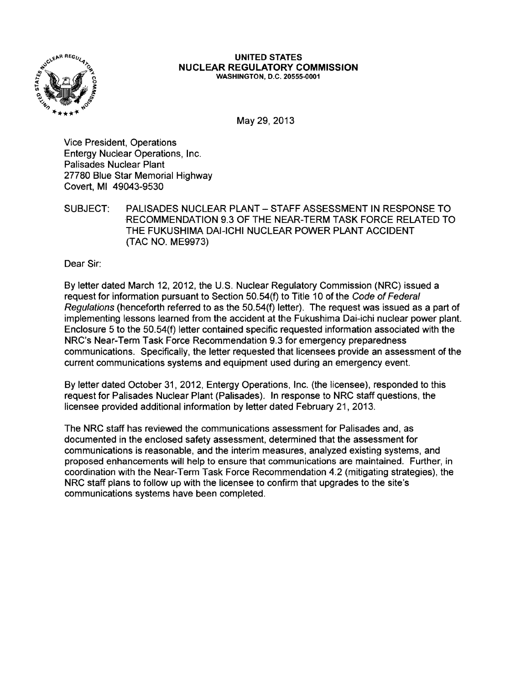

#### UNITED STATES NUCLEAR REGULATORY COMMISSION WASHINGTON, D.C. 20555-0001

May 29,2013

Vice President, Operations Entergy Nuclear Operations, Inc. Palisades Nuclear Plant 27780 Blue Star Memorial Highway Covert, MI 49043-9530

SUBJECT: PALISADES NUCLEAR PLANT - STAFF ASSESSMENT IN RESPONSE TO RECOMMENDATION 9.3 OF THE NEAR-TERM TASK FORCE RELATED TO THE FUKUSHIMA DAI-ICHI NUCLEAR POWER PLANT ACCIDENT (TAC NO. ME9973)

Dear Sir:

By letter dated March 12,2012, the U.S. Nuclear Regulatory Commission (NRC) issued a request for information pursuant to Section 50.54(f) to Title 10 of the Code of Federal Regulations (henceforth referred to as the 50.54(f) letter). The request was issued as a part of implementing lessons learned from the accident at the Fukushima Dai-ichi nuclear power plant. Enclosure 5 to the 50.54(f) letter contained specific requested information associated with the NRC's Near-Term Task Force Recommendation 9.3 for emergency preparedness communications. Specifically, the letter requested that licensees provide an assessment of the current communications systems and equipment used during an emergency event.

By letter dated October 31, 2012, Entergy Operations, Inc. (the licensee), responded to this request for Palisades Nuclear Plant (Palisades). In response to NRC staff questions, the licensee provided additional information by letter dated February 21, 2013.

The NRC staff has reviewed the communications assessment for Palisades and, as documented in the enclosed safety assessment, determined that the assessment for communications is reasonable, and the interim measures, analyzed existing systems, and proposed enhancements will help to ensure that communications are maintained. Further, in coordination with the Near-Term Task Force Recommendation 4.2 (mitigating strategies), the NRC staff plans to follow up with the licensee to confirm that upgrades to the site's communications systems have been completed.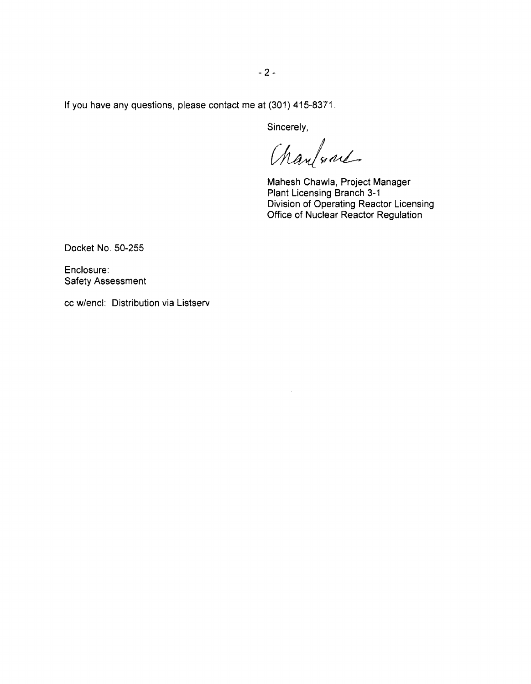**If** you have any questions, please contact me at (301) 415-8371.

Sincerely,

Charlone

Mahesh Chawla, Project Manager Plant Licensing Branch 3-1 Division of Operating Reactor Licensing Office of Nuclear Reactor Regulation

Docket No. 50-255

Enclosure: Safety Assessment

cc w/encl: Distribution via Listserv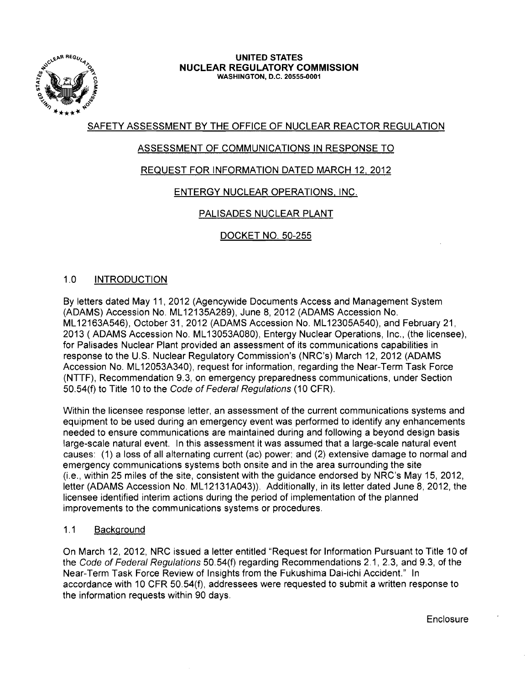

#### UNITED STATES NUCLEAR REGULATORY COMMISSION WASHINGTON, D.C. 20555-0001

## SAFETY ASSESSMENT BY THE OFFICE OF NUCLEAR REACTOR REGULATION

# ASSESSMENT OF COMMUNICATIONS IN RESPONSE TO

# REQUEST FOR INFORMATION DATED MARCH 12, 2012

# ENTERGY NUCLEAR OPERATIONS, INC.

# PALISADES NUCLEAR PLANT

## DOCKET NO. 50-255

## 1.0 INTRODUCTION

By letters dated May 11, 2012 (Agencywide Documents Access and Management System (ADAMS) Accession No. ML 12135A289), June 8, 2012 (ADAMS Accession No. ML 12163A546), October 31,2012 (ADAMS Accession No. ML 12305A540), and February 21, 2013 (ADAMS Accession No. ML 13053A080), Entergy Nuclear Operations, Inc., (the licensee), for Palisades Nuclear Plant provided an assessment of its communications capabilities in response to the U.S. Nuclear Regulatory Commission's (NRC's) March 12,2012 (ADAMS Accession No. ML 12053A340), request for information, regarding the Near-Term Task Force (NTTF), Recommendation 9.3, on emergency preparedness communications, under Section 50.54(f) to Title 10 to the Code of Federal Regulations (10 CFR).

Within the licensee response letter, an assessment of the current communications systems and equipment to be used during an emergency event was performed to identify any enhancements needed to ensure communications are maintained during and following a beyond design basis large-scale natural event. In this assessment it was assumed that a large-scale natural event causes: (1) a loss of all alternating current (ac) power; and (2) extensive damage to normal and emergency communications systems both onsite and in the area surrounding the site (i.e., within 25 miles of the site, consistent with the guidance endorsed by NRC's May 15, 2012, letter (ADAMS Accession No. ML12131A043)). Additionally, in its letter dated June 8, 2012, the licensee identified interim actions during the period of implementation of the planned improvements to the communications systems or procedures.

## 1.1 Background

On March 12, 2012, NRC issued a letter entitled "Request for Information Pursuant to Title 10 of the Code of Federal Regulations 50. 54(f) regarding Recommendations 2.1, 2.3, and 9.3, of the Near-Term Task Force Review of Insights from the Fukushima Dai-ichi Accident." In accordance with 10 CFR 50.54(f), addressees were requested to submit a written response to the information requests within 90 days.

**Enclosure**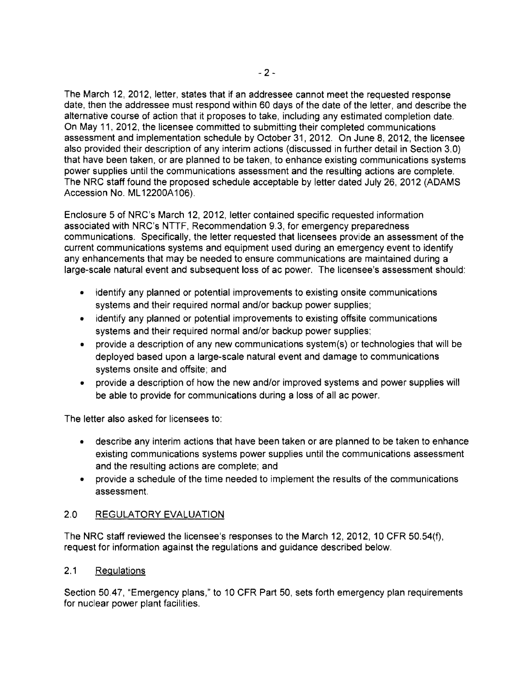The March 12, 2012, letter, states that if an addressee cannot meet the requested response date, then the addressee must respond within 60 days of the date of the letter, and describe the alternative course of action that it proposes to take, including any estimated completion date. On May 11,2012, the licensee committed to submitting their completed communications assessment and implementation schedule by October 31,2012. On June 8,2012, the licensee also provided their description of any interim actions (discussed in further detail in Section 3.0) that have been taken, or are planned to be taken, to enhance existing communications systems power supplies until the communications assessment and the resulting actions are complete. The NRC staff found the proposed schedule acceptable by letter dated July 26, 2012 (ADAMS Accession No. ML 12200A106).

Enclosure 5 of NRC's March 12, 2012, letter contained specific requested information associated with NRC's NTTF, Recommendation 9.3, for emergency preparedness communications. Specifically, the letter requested that licensees provide an assessment of the current communications systems and equipment used during an emergency event to identify any enhancements that may be needed to ensure communications are maintained during a large-scale natural event and subsequent loss of ac power. The licensee's assessment should:

- identify any planned or potential improvements to existing onsite communications systems and their required normal and/or backup power supplies;
- identify any planned or potential improvements to existing offsite communications systems and their required normal and/or backup power supplies;
- provide a description of any new communications system(s) or technologies that will be deployed based upon a large-scale natural event and damage to communications systems onsite and offsite; and
- provide a description of how the new and/or improved systems and power supplies will be able to provide for communications during a loss of all ac power.

The letter also asked for licensees to:

- describe any interim actions that have been taken or are planned to be taken to enhance existing communications systems power supplies until the communications assessment and the resulting actions are complete; and
- provide a schedule of the time needed to implement the results of the communications assessment.

## 2.0 REGULATORY EVALUATION

The NRC staff reviewed the licensee's responses to the March 12, 2012, 10 CFR 50.54 $(f)$ , request for information against the regulations and guidance described below.

## 2.1 Regulations

Section 50.47, "Emergency plans," to 10 CFR Part 50, sets forth emergency plan requirements for nuclear power plant facilities.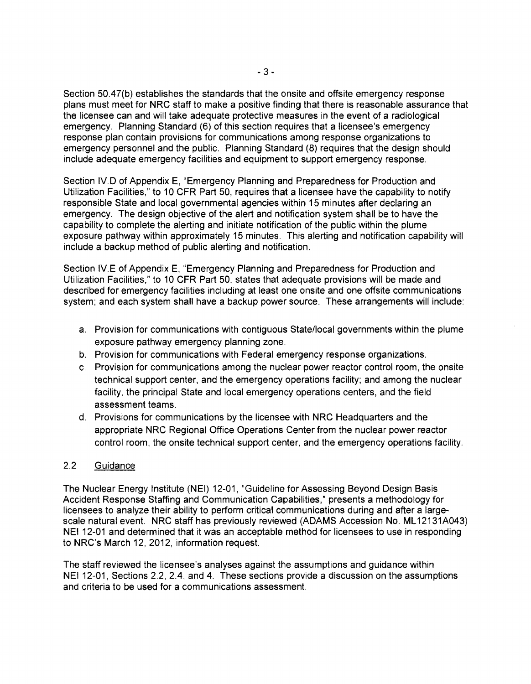Section 50.47(b) establishes the standards that the onsite and offsite emergency response plans must meet for NRC staff to make a positive finding that there is reasonable assurance that the licensee can and will take adequate protective measures in the event of a radiological emergency. Planning Standard (6) of this section requires that a licensee's emergency response plan contain provisions for communications among response organizations to emergency personnel and the public. Planning Standard (8) requires that the design should include adequate emergency facilities and equipment to support emergency response.

Section IV.D of Appendix E, "Emergency Planning and Preparedness for Production and Utilization Facilities," to 10 CFR Part 50, requires that a licensee have the capability to notify responsible State and local governmental agencies within 15 minutes after declaring an emergency. The design objective of the alert and notification system shall be to have the capability to complete the alerting and initiate notification of the public within the plume exposure pathway within approximately 15 minutes. This alerting and notification capability will include a backup method of public alerting and notification.

Section IV.E of Appendix E, "Emergency Planning and Preparedness for Production and Utilization Facilities," to 10 CFR Part 50, states that adequate provisions will be made and described for emergency facilities including at least one onsite and one offsite communications system; and each system shall have a backup power source. These arrangements will include:

- a. Provision for communications with contiguous Statellocal governments within the plume exposure pathway emergency planning zone.
- b. Provision for communications with Federal emergency response organizations.
- c. Provision for communications among the nuclear power reactor control room, the onsite technical support center, and the emergency operations facility; and among the nuclear facility, the principal State and local emergency operations centers, and the field assessment teams.
- d. Provisions for communications by the licensee with NRC Headquarters and the appropriate NRC Regional Office Operations Center from the nuclear power reactor control room, the onsite technical support center, and the emergency operations facility.

## 2.2 Guidance

The Nuclear Energy Institute (NEI) 12-01, "Guideline for Assessing Beyond Design Basis Accident Response Staffing and Communication Capabilities," presents a methodology for licensees to analyze their ability to perform critical communications during and after a largescale natural event. NRC staff has previously reviewed (ADAMS Accession No. ML12131A043) NEI 12-01 and determined that it was an acceptable method for licensees to use in responding to NRC's March 12, 2012, information request.

The staff reviewed the licensee's analyses against the assumptions and guidance within NEI 12-01, Sections 2.2, 2.4, and 4. These sections provide a discussion on the assumptions and criteria to be used for a communications assessment.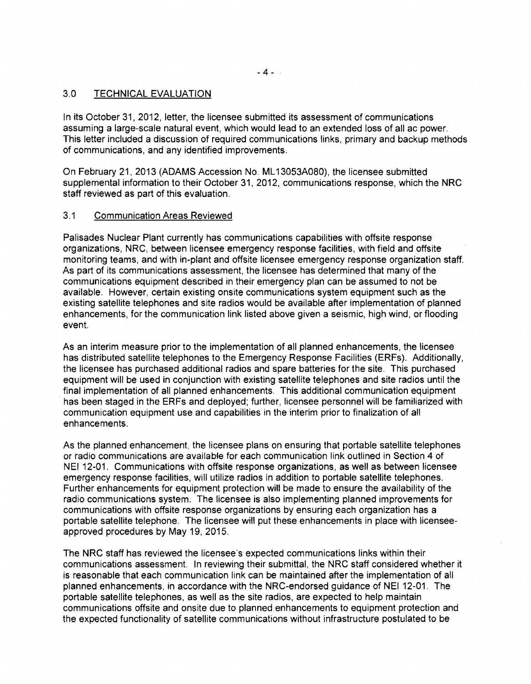#### 3.0 TECHNICAL EVALUATION

In its October 31,2012, letter, the licensee submitted its assessment of communications assuming a large-scale natural event, which would lead to an extended loss of all ac power. This letter included a discussion of required communications links, primary and backup methods of communications, and any identified improvements.

On February 21,2013 (ADAMS Accession No. ML 13053A080), the licensee submitted supplemental information to their October 31,2012, communications response, which the NRC staff reviewed as part of this evaluation.

#### 3.1 Communication Areas Reviewed

Palisades Nuclear Plant currently has communications capabilities with offsite response organizations, NRC, between licensee emergency response facilities, with field and offsite monitoring teams, and with in-plant and offsite licensee emergency response organization staff. As part of its communications assessment, the licensee has determined that many of the communications equipment described in their emergency plan can be assumed to not be available. However, certain existing onsite communications system equipment such as the existing satellite telephones and site radios would be available after implementation of planned enhancements, for the communication link listed above given a seismic, high wind, or flooding event.

As an interim measure prior to the implementation of all planned enhancements, the licensee has distributed satellite telephones to the Emergency Response Facilities (ERFs). Additionally, the licensee has purchased additional radios and spare batteries for the site. This purchased equipment will be used in conjunction with existing satellite telephones and site radios until the final implementation of all planned enhancements. This additional communication equipment has been staged in the ERFs and deployed; further, licensee personnel will be familiarized with communication equipment use and capabilities in the interim prior to finalization of all enhancements.

As the planned enhancement, the licensee plans on ensuring that portable satellite telephones or radio communications are available for each communication link outlined in Section 4 of NEI 12-01. Communications with offsite response organizations, as well as between licensee emergency response facilities, will utilize radios in addition to portable satellite telephones. Further enhancements for equipment protection will be made to ensure the availability of the radio communications system. The licensee is also implementing planned improvements for communications with offsite response organizations by ensuring each organization has a portable satellite telephone. The licensee will put these enhancements in place with licenseeapproved procedures by May 19, 2015.

The NRC staff has reviewed the licensee's expected communications links within their communications assessment. In reviewing their submittal, the NRC staff considered whether it is reasonable that each communication link can be maintained after the implementation of all planned enhancements, in accordance with the NRC-endorsed guidance of NEI 12-01. The portable satellite telephones, as well as the site radios, are expected to help maintain communications offsite and onsite due to planned enhancements to equipment protection and the expected functionality of satellite communications without infrastructure postulated to be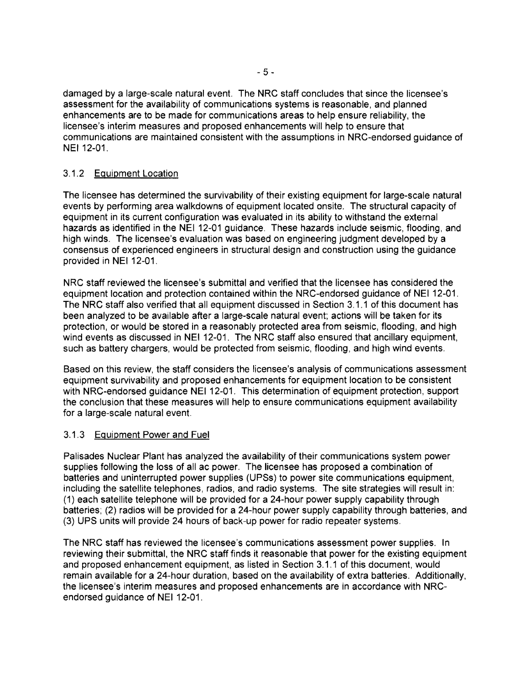damaged by a large-scale natural event. The NRC staff concludes that since the licensee's assessment for the availability of communications systems is reasonable, and planned enhancements are to be made for communications areas to help ensure reliability, the licensee's interim measures and proposed enhancements will help to ensure that communications are maintained consistent with the assumptions in NRC-endorsed guidance of NEI 12-01.

## 3.1.2 Equipment Location

The licensee has determined the survivability of their existing equipment for large-scale natural events by performing area walkdowns of equipment located onsite. The structural capacity of equipment in its current configuration was evaluated in its ability to withstand the external hazards as identified in the NEI 12-01 guidance. These hazards include seismic, flooding, and high winds. The licensee's evaluation was based on engineering judgment developed by a consensus of experienced engineers in structural design and construction using the guidance provided in NEI 12-01.

NRC staff reviewed the licensee's submittal and verified that the licensee has considered the equipment location and protection contained within the NRC-endorsed guidance of NEI 12-01. The NRC staff also verified that all equipment discussed in Section 3.1.1 of this document has been analyzed to be available after a large-scale natural event; actions will be taken for its protection, or would be stored in a reasonably protected area from seismic, flooding, and high wind events as discussed in NEI 12-01. The NRC staff also ensured that ancillary equipment, such as battery chargers, would be protected from seismic, flooding, and high wind events.

Based on this review, the staff considers the licensee's analysis of communications assessment equipment survivability and proposed enhancements for equipment location to be consistent with NRC-endorsed guidance NEI 12-01. This determination of equipment protection, support the conclusion that these measures will help to ensure communications equipment availability for a large-scale natural event.

#### 3.1.3 Equipment Power and Fuel

Palisades Nuclear Plant has analyzed the availability of their communications system power supplies following the loss of all ac power. The licensee has proposed a combination of batteries and uninterrupted power supplies (UPSs) to power site communications equipment, including the satellite telephones, radios, and radio systems. The site strategies will result in: (1) each satellite telephone will be provided for a 24-hour power supply capability through batteries; (2) radios will be provided for a 24-hour power supply capability through batteries, and (3) UPS units will provide 24 hours of back-up power for radio repeater systems.

The NRC staff has reviewed the licensee's communications assessment power supplies. In reviewing their submittal, the NRC staff finds it reasonable that power for the existing equipment and proposed enhancement equipment, as listed in Section 3.1.1 of this document, would remain available for a 24-hour duration, based on the availability of extra batteries. Additionally, the licensee's interim measures and proposed enhancements are in accordance with NRCendorsed guidance of NEI 12-01.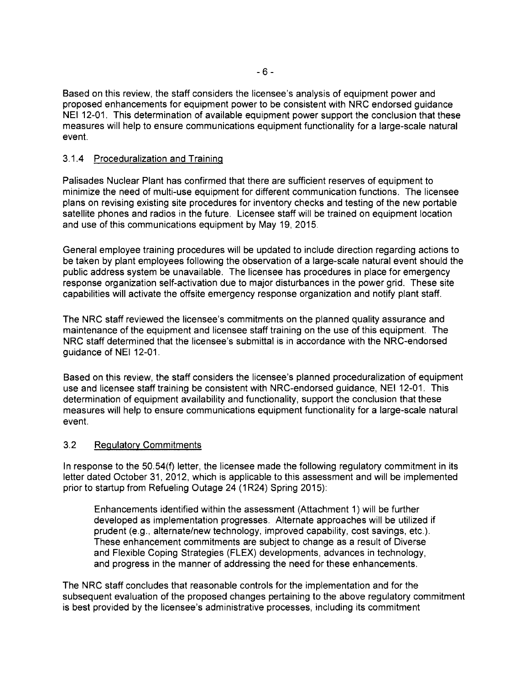Based on this review, the staff considers the licensee's analysis of equipment power and proposed enhancements for equipment power to be consistent with NRC endorsed guidance NEI 12-01. This determination of available equipment power support the conclusion that these measures will help to ensure communications equipment functionality for a large-scale natural event.

#### 3.1.4 Proceduralization and Training

Palisades Nuclear Plant has confirmed that there are sufficient reserves of equipment to minimize the need of multi-use equipment for different communication functions. The licensee plans on revising existing site procedures for inventory checks and testing of the new portable satellite phones and radios in the future. Licensee staff will be trained on equipment location and use of this communications equipment by May 19, 2015.

General employee training procedures will be updated to include direction regarding actions to be taken by plant employees following the observation of a large-scale natural event should the public address system be unavailable. The licensee has procedures in place for emergency response organization self-activation due to major disturbances in the power grid. These site capabilities will activate the offsite emergency response organization and notify plant staff.

The NRC staff reviewed the licensee's commitments on the planned quality assurance and maintenance of the equipment and licensee staff training on the use of this equipment. The NRC staff determined that the licensee's submittal is in accordance with the NRC-endorsed guidance of NEI 12-01.

Based on this review, the staff considers the licensee's planned proceduralization of equipment use and licensee staff training be consistent with NRC-endorsed guidance, NEI 12-01. This determination of equipment availability and functionality, support the conclusion that these measures will help to ensure communications equipment functionality for a large-scale natural event.

## 3.2 Regulatory Commitments

In response to the 50.54(f) letter, the licensee made the following regulatory commitment in its letter dated October 31, 2012, which is applicable to this assessment and will be implemented prior to startup from Refueling Outage 24 (1R24) Spring 2015):

Enhancements identified within the assessment (Attachment 1) will be further developed as implementation progresses. Alternate approaches will be utilized if prudent (e.g., alternate/new technology, improved capability, cost savings, etc.). These enhancement commitments are subject to change as a result of Diverse and Flexible Coping Strategies (FLEX) developments, advances in technology, and progress in the manner of addressing the need for these enhancements.

The NRC staff concludes that reasonable controls for the implementation and for the subsequent evaluation of the proposed changes pertaining to the above regulatory commitment is best provided by the licensee's administrative processes, including its commitment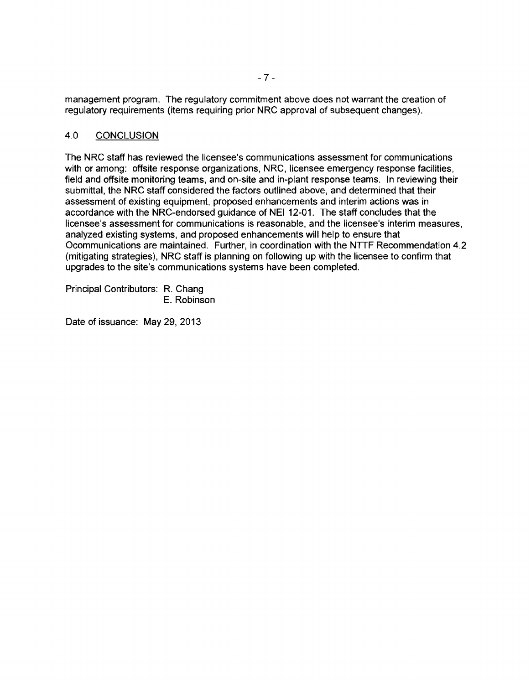management program. The regulatory commitment above does not warrant the creation of regulatory requirements (items requiring prior NRC approval of subsequent changes).

#### 4.0 CONCLUSION

The NRC staff has reviewed the licensee's communications assessment for communications with or among: offsite response organizations, NRC, licensee emergency response facilities, field and offsite monitoring teams, and on-site and in-plant response teams. In reviewing their submittal, the NRC staff considered the factors outlined above, and determined that their assessment of existing equipment, proposed enhancements and interim actions was in accordance with the NRC-endorsed guidance of NEI 12-01. The staff concludes that the licensee's assessment for communications is reasonable, and the licensee's interim measures, analyzed existing systems, and proposed enhancements will help to ensure that Ocommunications are maintained. Further, in coordination with the NTTF Recommendation 4.2 (mitigating strategies), NRC staff is planning on following up with the licensee to confirm that upgrades to the site's communications systems have been completed.

Principal Contributors: R. Chang E. Robinson

Date of issuance: May 29, 2013